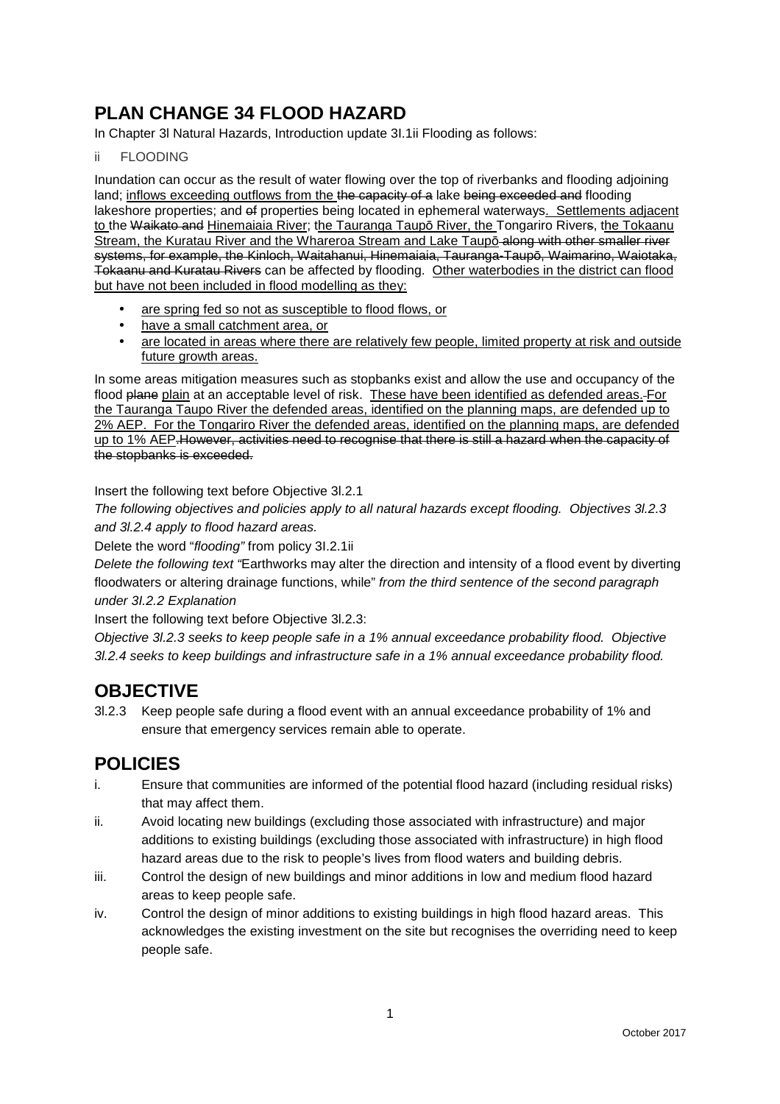# **PLAN CHANGE 34 FLOOD HAZARD**

In Chapter 3l Natural Hazards, Introduction update 3I.1ii Flooding as follows:

#### ii FLOODING

Inundation can occur as the result of water flowing over the top of riverbanks and flooding adjoining land; inflows exceeding outflows from the the capacity of a lake being exceeded and flooding lakeshore properties; and of properties being located in ephemeral waterways. Settlements adjacent to the Waikato and Hinemaiaia River; the Tauranga Taupō River, the Tongariro Rivers, the Tokaanu Stream, the Kuratau River and the Whareroa Stream and Lake Taupō along with other smaller river systems, for example, the Kinloch, Waitahanui, Hinemaiaia, Tauranga-Taupō, Waimarino, Waiotaka, Tokaanu and Kuratau Rivers can be affected by flooding. Other waterbodies in the district can flood but have not been included in flood modelling as they:

- are spring fed so not as susceptible to flood flows, or
- have a small catchment area, or
- are located in areas where there are relatively few people, limited property at risk and outside future growth areas.

In some areas mitigation measures such as stopbanks exist and allow the use and occupancy of the flood plane plain at an acceptable level of risk. These have been identified as defended areas. For the Tauranga Taupo River the defended areas, identified on the planning maps, are defended up to 2% AEP. For the Tongariro River the defended areas, identified on the planning maps, are defended up to 1% AEP.However, activities need to recognise that there is still a hazard when the capacity of the stopbanks is exceeded.

Insert the following text before Objective 3l.2.1

The following objectives and policies apply to all natural hazards except flooding. Objectives 3l.2.3 and 3l.2.4 apply to flood hazard areas.

Delete the word "flooding" from policy 3I.2.1ii

Delete the following text "Earthworks may alter the direction and intensity of a flood event by diverting floodwaters or altering drainage functions, while" from the third sentence of the second paragraph under 3I.2.2 Explanation

Insert the following text before Objective 3l.2.3:

Objective 3l.2.3 seeks to keep people safe in a 1% annual exceedance probability flood. Objective 3l.2.4 seeks to keep buildings and infrastructure safe in a 1% annual exceedance probability flood.

# **OBJECTIVE**

3l.2.3 Keep people safe during a flood event with an annual exceedance probability of 1% and ensure that emergency services remain able to operate.

# **POLICIES**

- i. Ensure that communities are informed of the potential flood hazard (including residual risks) that may affect them.
- ii. Avoid locating new buildings (excluding those associated with infrastructure) and major additions to existing buildings (excluding those associated with infrastructure) in high flood hazard areas due to the risk to people's lives from flood waters and building debris.
- iii. Control the design of new buildings and minor additions in low and medium flood hazard areas to keep people safe.
- iv. Control the design of minor additions to existing buildings in high flood hazard areas. This acknowledges the existing investment on the site but recognises the overriding need to keep people safe.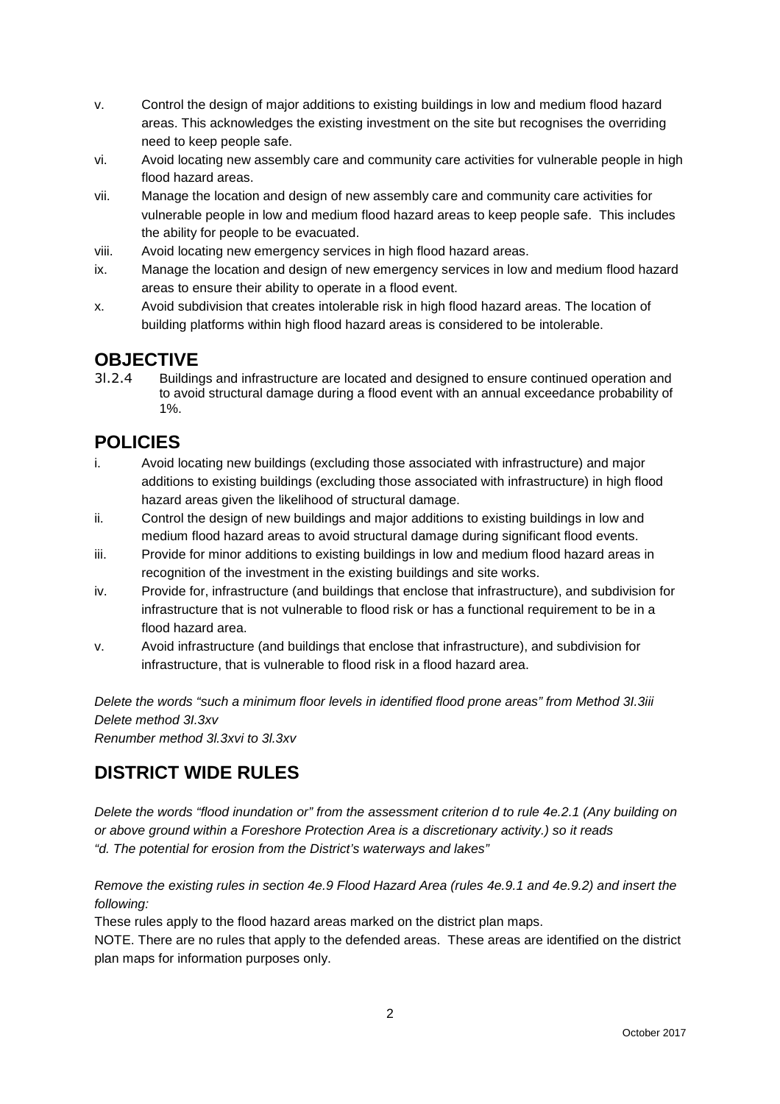- v. Control the design of major additions to existing buildings in low and medium flood hazard areas. This acknowledges the existing investment on the site but recognises the overriding need to keep people safe.
- vi. Avoid locating new assembly care and community care activities for vulnerable people in high flood hazard areas.
- vii. Manage the location and design of new assembly care and community care activities for vulnerable people in low and medium flood hazard areas to keep people safe. This includes the ability for people to be evacuated.
- viii. Avoid locating new emergency services in high flood hazard areas.
- ix. Manage the location and design of new emergency services in low and medium flood hazard areas to ensure their ability to operate in a flood event.
- x. Avoid subdivision that creates intolerable risk in high flood hazard areas. The location of building platforms within high flood hazard areas is considered to be intolerable.

## **OBJECTIVE**

3l.2.4 Buildings and infrastructure are located and designed to ensure continued operation and to avoid structural damage during a flood event with an annual exceedance probability of 1%.

# **POLICIES**

- i. Avoid locating new buildings (excluding those associated with infrastructure) and major additions to existing buildings (excluding those associated with infrastructure) in high flood hazard areas given the likelihood of structural damage.
- ii. Control the design of new buildings and major additions to existing buildings in low and medium flood hazard areas to avoid structural damage during significant flood events.
- iii. Provide for minor additions to existing buildings in low and medium flood hazard areas in recognition of the investment in the existing buildings and site works.
- iv. Provide for, infrastructure (and buildings that enclose that infrastructure), and subdivision for infrastructure that is not vulnerable to flood risk or has a functional requirement to be in a flood hazard area.
- v. Avoid infrastructure (and buildings that enclose that infrastructure), and subdivision for infrastructure, that is vulnerable to flood risk in a flood hazard area.

Delete the words "such a minimum floor levels in identified flood prone areas" from Method 3I.3iii Delete method 3I.3xv Renumber method 3l.3xvi to 3l.3xv

# **DISTRICT WIDE RULES**

Delete the words "flood inundation or" from the assessment criterion d to rule 4e.2.1 (Any building on or above ground within a Foreshore Protection Area is a discretionary activity.) so it reads "d. The potential for erosion from the District's waterways and lakes"

Remove the existing rules in section 4e.9 Flood Hazard Area (rules 4e.9.1 and 4e.9.2) and insert the following:

These rules apply to the flood hazard areas marked on the district plan maps.

NOTE. There are no rules that apply to the defended areas. These areas are identified on the district plan maps for information purposes only.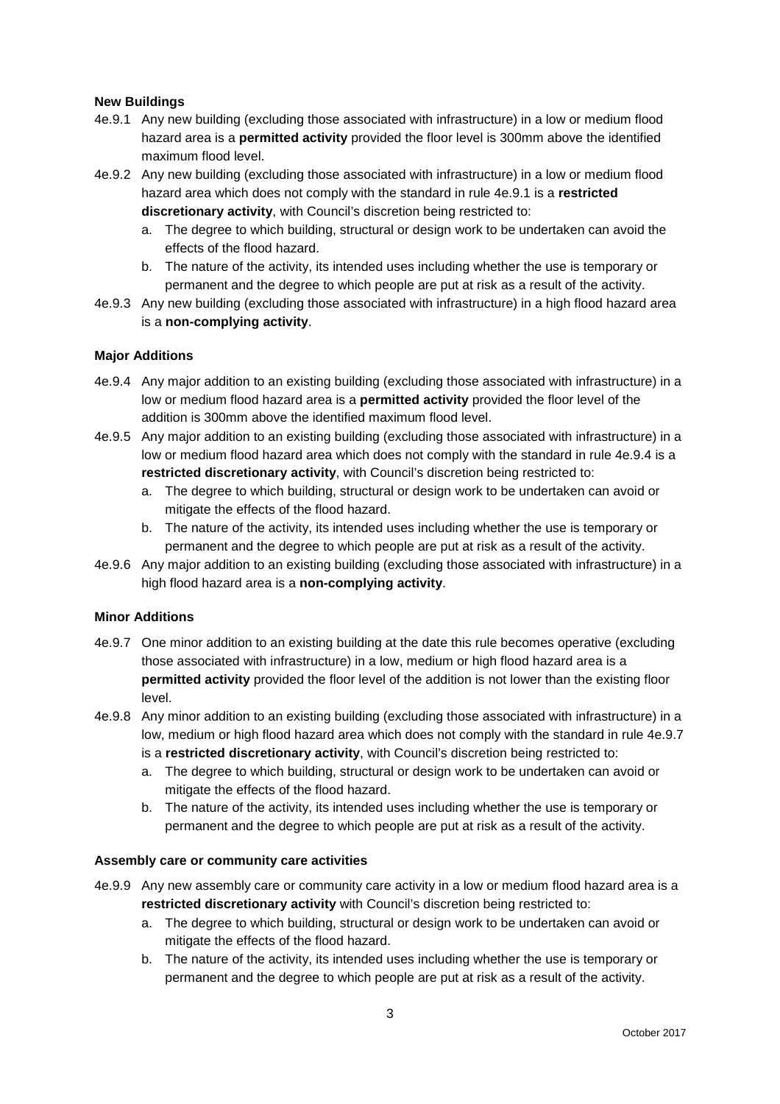#### **New Buildings**

- 4e.9.1 Any new building (excluding those associated with infrastructure) in a low or medium flood hazard area is a **permitted activity** provided the floor level is 300mm above the identified maximum flood level.
- 4e.9.2 Any new building (excluding those associated with infrastructure) in a low or medium flood hazard area which does not comply with the standard in rule 4e.9.1 is a **restricted discretionary activity**, with Council's discretion being restricted to:
	- a. The degree to which building, structural or design work to be undertaken can avoid the effects of the flood hazard.
	- b. The nature of the activity, its intended uses including whether the use is temporary or permanent and the degree to which people are put at risk as a result of the activity.
- 4e.9.3 Any new building (excluding those associated with infrastructure) in a high flood hazard area is a **non-complying activity**.

#### **Major Additions**

- 4e.9.4 Any major addition to an existing building (excluding those associated with infrastructure) in a low or medium flood hazard area is a **permitted activity** provided the floor level of the addition is 300mm above the identified maximum flood level.
- 4e.9.5 Any major addition to an existing building (excluding those associated with infrastructure) in a low or medium flood hazard area which does not comply with the standard in rule 4e.9.4 is a **restricted discretionary activity**, with Council's discretion being restricted to:
	- a. The degree to which building, structural or design work to be undertaken can avoid or mitigate the effects of the flood hazard.
	- b. The nature of the activity, its intended uses including whether the use is temporary or permanent and the degree to which people are put at risk as a result of the activity.
- 4e.9.6 Any major addition to an existing building (excluding those associated with infrastructure) in a high flood hazard area is a **non-complying activity**.

#### **Minor Additions**

- 4e.9.7 One minor addition to an existing building at the date this rule becomes operative (excluding those associated with infrastructure) in a low, medium or high flood hazard area is a **permitted activity** provided the floor level of the addition is not lower than the existing floor level.
- 4e.9.8 Any minor addition to an existing building (excluding those associated with infrastructure) in a low, medium or high flood hazard area which does not comply with the standard in rule 4e.9.7 is a **restricted discretionary activity**, with Council's discretion being restricted to:
	- a. The degree to which building, structural or design work to be undertaken can avoid or mitigate the effects of the flood hazard.
	- b. The nature of the activity, its intended uses including whether the use is temporary or permanent and the degree to which people are put at risk as a result of the activity.

#### **Assembly care or community care activities**

- 4e.9.9 Any new assembly care or community care activity in a low or medium flood hazard area is a **restricted discretionary activity** with Council's discretion being restricted to:
	- a. The degree to which building, structural or design work to be undertaken can avoid or mitigate the effects of the flood hazard.
	- b. The nature of the activity, its intended uses including whether the use is temporary or permanent and the degree to which people are put at risk as a result of the activity.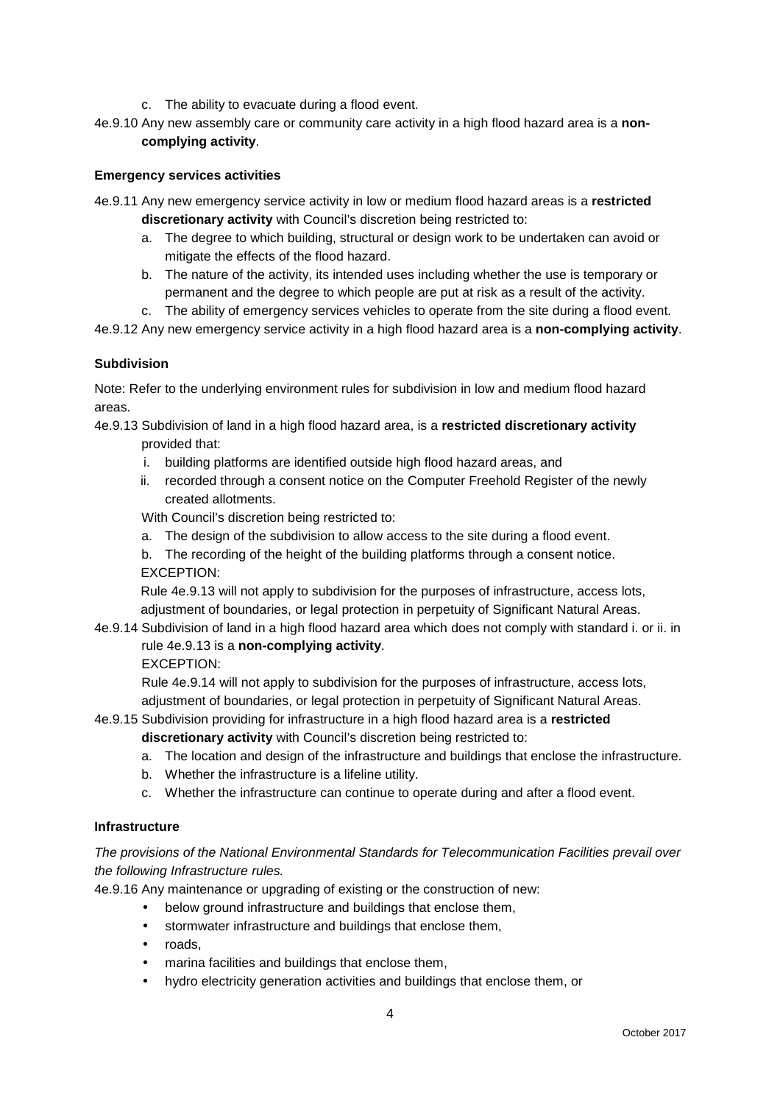- c. The ability to evacuate during a flood event.
- 4e.9.10 Any new assembly care or community care activity in a high flood hazard area is a **noncomplying activity**.

#### **Emergency services activities**

- 4e.9.11 Any new emergency service activity in low or medium flood hazard areas is a **restricted discretionary activity** with Council's discretion being restricted to:
	- a. The degree to which building, structural or design work to be undertaken can avoid or mitigate the effects of the flood hazard.
	- b. The nature of the activity, its intended uses including whether the use is temporary or permanent and the degree to which people are put at risk as a result of the activity.
	- c. The ability of emergency services vehicles to operate from the site during a flood event.

4e.9.12 Any new emergency service activity in a high flood hazard area is a **non-complying activity**.

#### **Subdivision**

Note: Refer to the underlying environment rules for subdivision in low and medium flood hazard areas.

4e.9.13 Subdivision of land in a high flood hazard area, is a **restricted discretionary activity** provided that:

- i. building platforms are identified outside high flood hazard areas, and
- ii. recorded through a consent notice on the Computer Freehold Register of the newly created allotments.

With Council's discretion being restricted to:

- a. The design of the subdivision to allow access to the site during a flood event.
- b. The recording of the height of the building platforms through a consent notice.

#### EXCEPTION:

Rule 4e.9.13 will not apply to subdivision for the purposes of infrastructure, access lots, adjustment of boundaries, or legal protection in perpetuity of Significant Natural Areas.

4e.9.14 Subdivision of land in a high flood hazard area which does not comply with standard i. or ii. in rule 4e.9.13 is a **non-complying activity**.

EXCEPTION:

Rule 4e.9.14 will not apply to subdivision for the purposes of infrastructure, access lots, adjustment of boundaries, or legal protection in perpetuity of Significant Natural Areas.

## 4e.9.15 Subdivision providing for infrastructure in a high flood hazard area is a **restricted**

**discretionary activity** with Council's discretion being restricted to:

- a. The location and design of the infrastructure and buildings that enclose the infrastructure.
- b. Whether the infrastructure is a lifeline utility.
- c. Whether the infrastructure can continue to operate during and after a flood event.

#### **Infrastructure**

#### The provisions of the National Environmental Standards for Telecommunication Facilities prevail over the following Infrastructure rules.

4e.9.16 Any maintenance or upgrading of existing or the construction of new:

- below ground infrastructure and buildings that enclose them,
- stormwater infrastructure and buildings that enclose them,
- roads,
- marina facilities and buildings that enclose them,
- hydro electricity generation activities and buildings that enclose them, or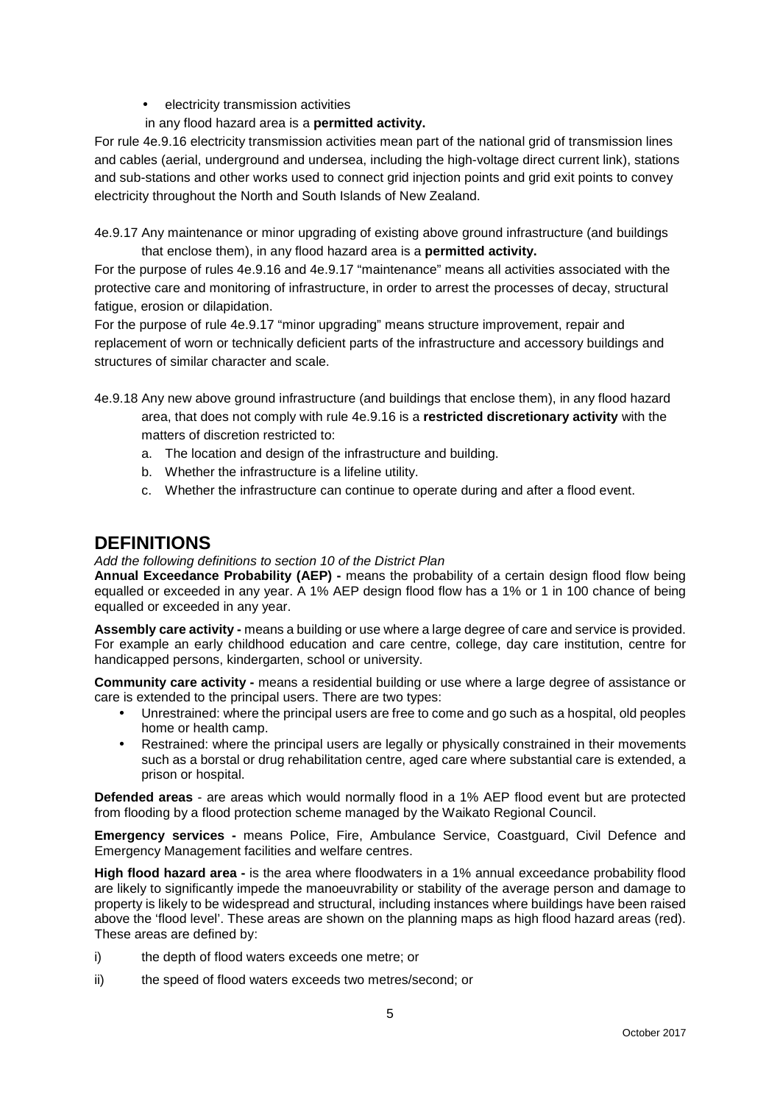- electricity transmission activities
- in any flood hazard area is a **permitted activity.**

For rule 4e.9.16 electricity transmission activities mean part of the national grid of transmission lines and cables (aerial, underground and undersea, including the high-voltage direct current link), stations and sub-stations and other works used to connect grid injection points and grid exit points to convey electricity throughout the North and South Islands of New Zealand.

4e.9.17 Any maintenance or minor upgrading of existing above ground infrastructure (and buildings that enclose them), in any flood hazard area is a **permitted activity.**

For the purpose of rules 4e.9.16 and 4e.9.17 "maintenance" means all activities associated with the protective care and monitoring of infrastructure, in order to arrest the processes of decay, structural fatigue, erosion or dilapidation.

For the purpose of rule 4e.9.17 "minor upgrading" means structure improvement, repair and replacement of worn or technically deficient parts of the infrastructure and accessory buildings and structures of similar character and scale.

- 4e.9.18 Any new above ground infrastructure (and buildings that enclose them), in any flood hazard area, that does not comply with rule 4e.9.16 is a **restricted discretionary activity** with the matters of discretion restricted to:
	- a. The location and design of the infrastructure and building.
	- b. Whether the infrastructure is a lifeline utility.
	- c. Whether the infrastructure can continue to operate during and after a flood event.

### **DEFINITIONS**

#### Add the following definitions to section 10 of the District Plan

**Annual Exceedance Probability (AEP) -** means the probability of a certain design flood flow being equalled or exceeded in any year. A 1% AEP design flood flow has a 1% or 1 in 100 chance of being equalled or exceeded in any year.

**Assembly care activity -** means a building or use where a large degree of care and service is provided. For example an early childhood education and care centre, college, day care institution, centre for handicapped persons, kindergarten, school or university.

**Community care activity -** means a residential building or use where a large degree of assistance or care is extended to the principal users. There are two types:

- Unrestrained: where the principal users are free to come and go such as a hospital, old peoples home or health camp.
- Restrained: where the principal users are legally or physically constrained in their movements such as a borstal or drug rehabilitation centre, aged care where substantial care is extended, a prison or hospital.

**Defended areas** - are areas which would normally flood in a 1% AEP flood event but are protected from flooding by a flood protection scheme managed by the Waikato Regional Council.

**Emergency services -** means Police, Fire, Ambulance Service, Coastguard, Civil Defence and Emergency Management facilities and welfare centres.

**High flood hazard area -** is the area where floodwaters in a 1% annual exceedance probability flood are likely to significantly impede the manoeuvrability or stability of the average person and damage to property is likely to be widespread and structural, including instances where buildings have been raised above the 'flood level'. These areas are shown on the planning maps as high flood hazard areas (red). These areas are defined by:

- i) the depth of flood waters exceeds one metre; or
- ii) the speed of flood waters exceeds two metres/second; or